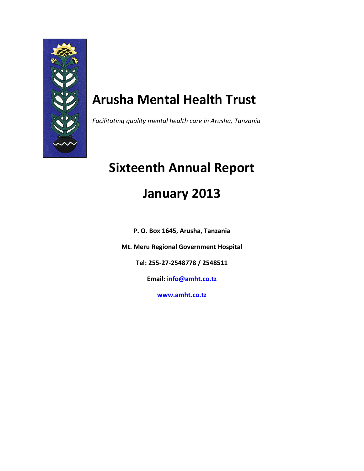

# **Arusha Mental Health Trust**

*Facilitating quality mental health care in Arusha, Tanzania*

# **Sixteenth Annual Report January 2013**

**P. O. Box 1645, Arusha, Tanzania**

**Mt. Meru Regional Government Hospital**

**Tel: 255-27-2548778 / 2548511**

**Email: [info@amht.co.tz](mailto:info@amht.co.tz)**

**[www.amht.co.tz](http://www.amht.co.tz/)**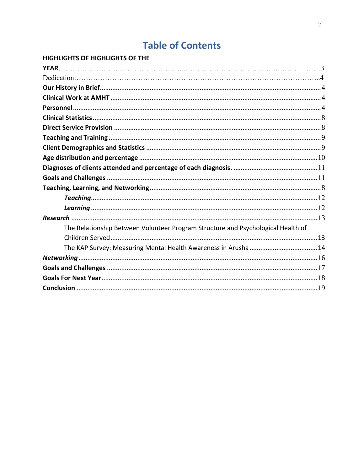# **Table of Contents**

| HIGHLIGHTS OF HIGHLIGHTS OF THE                                                  |  |
|----------------------------------------------------------------------------------|--|
|                                                                                  |  |
|                                                                                  |  |
|                                                                                  |  |
|                                                                                  |  |
|                                                                                  |  |
|                                                                                  |  |
|                                                                                  |  |
|                                                                                  |  |
|                                                                                  |  |
|                                                                                  |  |
|                                                                                  |  |
|                                                                                  |  |
|                                                                                  |  |
|                                                                                  |  |
|                                                                                  |  |
|                                                                                  |  |
| The Relationship Between Volunteer Program Structure and Psychological Health of |  |
|                                                                                  |  |
|                                                                                  |  |
|                                                                                  |  |
|                                                                                  |  |
|                                                                                  |  |
|                                                                                  |  |
|                                                                                  |  |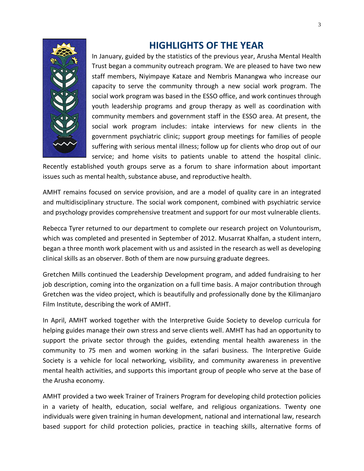

## **HIGHLIGHTS OF THE YEAR**

<span id="page-2-0"></span>In January, guided by the statistics of the previous year, Arusha Mental Health Trust began a community outreach program. We are pleased to have two new staff members, Niyimpaye Kataze and Nembris Manangwa who increase our capacity to serve the community through a new social work program. The social work program was based in the ESSO office, and work continues through youth leadership programs and group therapy as well as coordination with community members and government staff in the ESSO area. At present, the social work program includes: intake interviews for new clients in the government psychiatric clinic; support group meetings for families of people suffering with serious mental illness; follow up for clients who drop out of our service; and home visits to patients unable to attend the hospital clinic.

Recently established youth groups serve as a forum to share information about important issues such as mental health, substance abuse, and reproductive health.

AMHT remains focused on service provision, and are a model of quality care in an integrated and multidisciplinary structure. The social work component, combined with psychiatric service and psychology provides comprehensive treatment and support for our most vulnerable clients.

Rebecca Tyrer returned to our department to complete our research project on Voluntourism, which was completed and presented in September of 2012. Musarrat Khalfan, a student intern, began a three month work placement with us and assisted in the research as well as developing clinical skills as an observer. Both of them are now pursuing graduate degrees.

Gretchen Mills continued the Leadership Development program, and added fundraising to her job description, coming into the organization on a full time basis. A major contribution through Gretchen was the video project, which is beautifully and professionally done by the Kilimanjaro Film Institute, describing the work of AMHT.

In April, AMHT worked together with the Interpretive Guide Society to develop curricula for helping guides manage their own stress and serve clients well. AMHT has had an opportunity to support the private sector through the guides, extending mental health awareness in the community to 75 men and women working in the safari business. The Interpretive Guide Society is a vehicle for local networking, visibility, and community awareness in preventive mental health activities, and supports this important group of people who serve at the base of the Arusha economy.

AMHT provided a two week Trainer of Trainers Program for developing child protection policies in a variety of health, education, social welfare, and religious organizations. Twenty one individuals were given training in human development, national and international law, research based support for child protection policies, practice in teaching skills, alternative forms of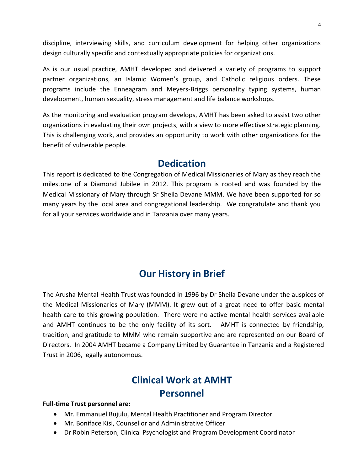discipline, interviewing skills, and curriculum development for helping other organizations design culturally specific and contextually appropriate policies for organizations.

As is our usual practice, AMHT developed and delivered a variety of programs to support partner organizations, an Islamic Women's group, and Catholic religious orders. These programs include the Enneagram and Meyers-Briggs personality typing systems, human development, human sexuality, stress management and life balance workshops.

As the monitoring and evaluation program develops, AMHT has been asked to assist two other organizations in evaluating their own projects, with a view to more effective strategic planning. This is challenging work, and provides an opportunity to work with other organizations for the benefit of vulnerable people.

## **Dedication**

This report is dedicated to the Congregation of Medical Missionaries of Mary as they reach the milestone of a Diamond Jubilee in 2012. This program is rooted and was founded by the Medical Missionary of Mary through Sr Sheila Devane MMM. We have been supported for so many years by the local area and congregational leadership. We congratulate and thank you for all your services worldwide and in Tanzania over many years.

## **Our History in Brief**

<span id="page-3-0"></span>The Arusha Mental Health Trust was founded in 1996 by Dr Sheila Devane under the auspices of the Medical Missionaries of Mary (MMM). It grew out of a great need to offer basic mental health care to this growing population. There were no active mental health services available and AMHT continues to be the only facility of its sort. AMHT is connected by friendship, tradition, and gratitude to MMM who remain supportive and are represented on our Board of Directors. In 2004 AMHT became a Company Limited by Guarantee in Tanzania and a Registered Trust in 2006, legally autonomous.

## **Clinical Work at AMHT Personnel**

#### <span id="page-3-2"></span><span id="page-3-1"></span>**Full-time Trust personnel are:**

- Mr. Emmanuel Bujulu, Mental Health Practitioner and Program Director
- Mr. Boniface Kisi, Counsellor and Administrative Officer
- Dr Robin Peterson, Clinical Psychologist and Program Development Coordinator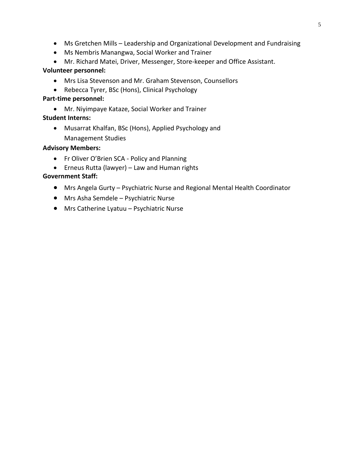- Ms Gretchen Mills Leadership and Organizational Development and Fundraising
- Ms Nembris Manangwa, Social Worker and Trainer
- Mr. Richard Matei, Driver, Messenger, Store-keeper and Office Assistant.

#### **Volunteer personnel:**

- Mrs Lisa Stevenson and Mr. Graham Stevenson, Counsellors
- Rebecca Tyrer, BSc (Hons), Clinical Psychology

#### **Part-time personnel:**

Mr. Niyimpaye Kataze, Social Worker and Trainer

#### **Student Interns:**

 Musarrat Khalfan, BSc (Hons), Applied Psychology and Management Studies

#### **Advisory Members:**

- Fr Oliver O'Brien SCA Policy and Planning
- Erneus Rutta (lawyer) Law and Human rights

#### **Government Staff:**

- Mrs Angela Gurty Psychiatric Nurse and Regional Mental Health Coordinator
- Mrs Asha Semdele Psychiatric Nurse
- Mrs Catherine Lyatuu Psychiatric Nurse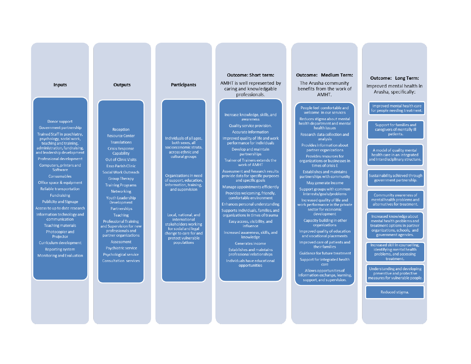| <b>Inputs</b>                                                                                                                                                                                                                                                                                                                                                                                                                                                                                                                                                                                                      | <b>Outputs</b>                                                                                                                                                                                                                                                                                                                                                                                                                                                                                                                                      | <b>Participants</b>                                                                                                                                                                                                                                                                                                                                                  | <b>Outcome: Short term:</b><br>AMHT is well represented by<br>caring and knowledgable<br>professionals.                                                                                                                                                                                                                                                                                                                                                                                                                                                                                                                                                                                                                                                                                                            | <b>Outcome: Medium Term:</b><br>The Arusha community<br>benefits from the work of<br>AMHT.                                                                                                                                                                                                                                                                                                                                                                                                                                                                                                                                                                                                                                                                                                                                                                                                                                    | Outcome: Long Term:<br>Improved mental health in<br>Arusha, specifically:                                                                                                                                                                                                                                                                                                                                                                                                                                                                                                                                                                                                                                                                                               |
|--------------------------------------------------------------------------------------------------------------------------------------------------------------------------------------------------------------------------------------------------------------------------------------------------------------------------------------------------------------------------------------------------------------------------------------------------------------------------------------------------------------------------------------------------------------------------------------------------------------------|-----------------------------------------------------------------------------------------------------------------------------------------------------------------------------------------------------------------------------------------------------------------------------------------------------------------------------------------------------------------------------------------------------------------------------------------------------------------------------------------------------------------------------------------------------|----------------------------------------------------------------------------------------------------------------------------------------------------------------------------------------------------------------------------------------------------------------------------------------------------------------------------------------------------------------------|--------------------------------------------------------------------------------------------------------------------------------------------------------------------------------------------------------------------------------------------------------------------------------------------------------------------------------------------------------------------------------------------------------------------------------------------------------------------------------------------------------------------------------------------------------------------------------------------------------------------------------------------------------------------------------------------------------------------------------------------------------------------------------------------------------------------|-------------------------------------------------------------------------------------------------------------------------------------------------------------------------------------------------------------------------------------------------------------------------------------------------------------------------------------------------------------------------------------------------------------------------------------------------------------------------------------------------------------------------------------------------------------------------------------------------------------------------------------------------------------------------------------------------------------------------------------------------------------------------------------------------------------------------------------------------------------------------------------------------------------------------------|-------------------------------------------------------------------------------------------------------------------------------------------------------------------------------------------------------------------------------------------------------------------------------------------------------------------------------------------------------------------------------------------------------------------------------------------------------------------------------------------------------------------------------------------------------------------------------------------------------------------------------------------------------------------------------------------------------------------------------------------------------------------------|
| Donor support<br>Government partnership<br>Trained Staff in psychiatry,<br>psychology, social work,<br>teaching and training.<br>administration, fundraising,<br>and leadership development<br>Professional development<br>Computers, printers and<br>Software<br>Consumables<br>Office space & equipment<br>Reliable transportation<br>Fundraising<br><b>Publicity and Signage</b><br>Access to up to date research<br>Information technology and<br>communication<br><b>Teaching materials</b><br>Photocopier and<br>Projector<br>Curriculum development<br>Reporting system<br><b>Monitoring and Evaluation</b> | Reception<br><b>Resource Center</b><br><b>Translations</b><br><b>Crisis Response</b><br>Capability<br><b>Out of Clinic Visits</b><br><b>Esso Parish Clinic</b><br>Social Work Outreach<br><b>Group Therapy</b><br><b>Training Programs</b><br><b>Networking</b><br><b>Youth Leadership</b><br>Development<br>Partnerships<br><b>Teaching</b><br><b>Professional Training</b><br>and Supervision for new<br>professionals and<br>partner organizations<br>Assessment<br>Psychiatric service<br>Psychological service<br><b>Consultation services</b> | Individuals of all ages,<br>both sexes, all<br>socioeconomic strata.<br>across ethnic and<br>cultural groups<br>Organizations in need<br>of support, education,<br>information, training,<br>and supervision<br>Local, national, and<br>international<br>stakeholders working<br>for social and legal<br>change to care for and<br>protect vulnerable<br>populations | Increase knowledge, skills, and<br>awareness<br>Quality service provision.<br>Accurate information<br>Improved quality of life and work<br>performance for individuals<br>Develop and maintain<br>partnerships<br>Trainer of Trainers extends the<br>work of AMHT<br>Assessment and Research results<br>provide data for specific purposes<br>and specific goals<br>Manage appointments efficiently<br>Provides welcoming, friendly,<br>comfortable environment<br>Enhances personal understanding<br>Supports individuals, families, and<br>organizations in times of trauma<br>Easy access, visibility, and<br>influence<br>Increased awareness, skills, and<br>knowledge<br>Generates income<br><b>Establishes and maintains</b><br>professional relationships<br>Individuals have educational<br>opportunities | People feel comfortable and<br>welcome in our services<br>Reduces stigma about mental<br>health department and mental<br>health issues<br>Research data collection and<br>analysis<br>Provides information about<br>partner organizations<br>Provides resources for<br>organizations or businesses in<br>times of crisis E<br><b>Establishes and maintains</b><br>partnerships with community<br>May generate income<br>Support groups with common<br>interests/goals/problems<br>Increased quality of life and<br>work performance in the private<br>sector for economic<br>development<br>Capacity building in other<br>organizations<br>Improved quality of education<br>and vocational placements<br>Improved care of patients and<br>their families<br>Guidance for future treatment<br>Support for integrated health<br>care<br>Allows opportunities of<br>information exchange, learning,<br>support, and supervision. | Improved mental health care<br>for people needing treatment.<br>Support for families and<br>caregivers of mentally ill<br>patients.<br>A model of quality mental<br>health care in an integrated<br>and Interdisciplinary structure.<br>Sustainability achieved through<br>government partnership.<br>Community awareness of<br>mental health problems and<br>alternatives for treatment.<br>Increased knowledge about<br>mental health problems and<br>treatment options in partner<br>organizations, schools, and<br>government agencies.<br>Increased skill in counselling,<br>identifying mental health<br>problems, and accessing<br>treatment.<br>Understanding and developing<br>preventive and protective<br>measures for vulnerable people.<br>Reduced stigma. |

**CONTRACTOR**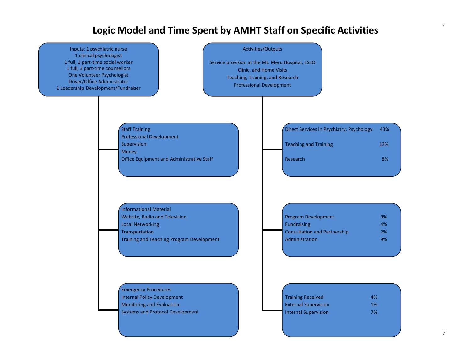## **Logic Model and Time Spent by AMHT Staff on Specific Activities**

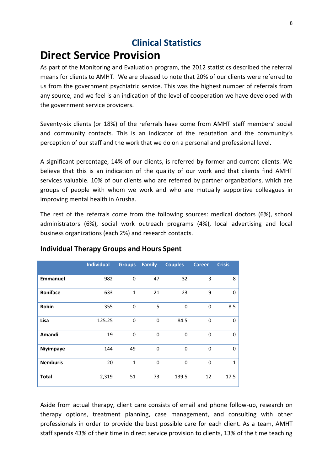## **Clinical Statistics**

# <span id="page-7-1"></span><span id="page-7-0"></span>**Direct Service Provision**

As part of the Monitoring and Evaluation program, the 2012 statistics described the referral means for clients to AMHT. We are pleased to note that 20% of our clients were referred to us from the government psychiatric service. This was the highest number of referrals from any source, and we feel is an indication of the level of cooperation we have developed with the government service providers.

Seventy-six clients (or 18%) of the referrals have come from AMHT staff members' social and community contacts. This is an indicator of the reputation and the community's perception of our staff and the work that we do on a personal and professional level.

A significant percentage, 14% of our clients, is referred by former and current clients. We believe that this is an indication of the quality of our work and that clients find AMHT services valuable. 10% of our clients who are referred by partner organizations, which are groups of people with whom we work and who are mutually supportive colleagues in improving mental health in Arusha.

The rest of the referrals come from the following sources: medical doctors (6%), school administrators (6%), social work outreach programs (4%), local advertising and local business organizations (each 2%) and research contacts.

|                 | <b>Individual</b> | <b>Groups</b> | <b>Family</b> | <b>Couples</b> | <b>Career</b> | <b>Crisis</b> |
|-----------------|-------------------|---------------|---------------|----------------|---------------|---------------|
| <b>Emmanuel</b> | 982               | 0             | 47            | 32             | 3             | 8             |
| <b>Boniface</b> | 633               | $\mathbf{1}$  | 21            | 23             | 9             | 0             |
| Robin           | 355               | $\mathbf 0$   | 5             | 0              | $\mathbf 0$   | 8.5           |
| Lisa            | 125.25            | 0             | $\mathbf{0}$  | 84.5           | $\mathbf 0$   | 0             |
| Amandi          | 19                | $\Omega$      | $\mathbf{0}$  | $\mathbf{0}$   | $\mathbf 0$   | 0             |
| Niyimpaye       | 144               | 49            | $\Omega$      | $\mathbf{0}$   | $\Omega$      | 0             |
| <b>Nemburis</b> | 20                | $\mathbf{1}$  | $\Omega$      | $\Omega$       | $\mathbf 0$   | 1             |
| <b>Total</b>    | 2,319             | 51            | 73            | 139.5          | 12            | 17.5          |

## **Individual Therapy Groups and Hours Spent**

Aside from actual therapy, client care consists of email and phone follow-up, research on therapy options, treatment planning, case management, and consulting with other professionals in order to provide the best possible care for each client. As a team, AMHT staff spends 43% of their time in direct service provision to clients, 13% of the time teaching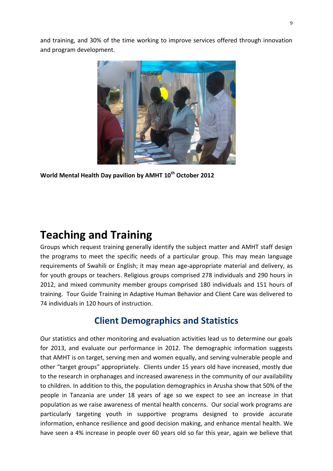and training, and 30% of the time working to improve services offered through innovation and program development.



**World Mental Health Day pavilion by AMHT 10th October 2012**

# <span id="page-8-0"></span>**Teaching and Training**

<span id="page-8-1"></span>Groups which request training generally identify the subject matter and AMHT staff design the programs to meet the specific needs of a particular group. This may mean language requirements of Swahili or English; it may mean age-appropriate material and delivery, as for youth groups or teachers. Religious groups comprised 278 individuals and 290 hours in 2012, and mixed community member groups comprised 180 individuals and 151 hours of training. Tour Guide Training in Adaptive Human Behavior and Client Care was delivered to 74 individuals in 120 hours of instruction.

## **Client Demographics and Statistics**

Our statistics and other monitoring and evaluation activities lead us to determine our goals for 2013, and evaluate our performance in 2012. The demographic information suggests that AMHT is on target, serving men and women equally, and serving vulnerable people and other "target groups" appropriately. Clients under 15 years old have increased, mostly due to the research in orphanages and increased awareness in the community of our availability to children. In addition to this, the population demographics in Arusha show that 50% of the people in Tanzania are under 18 years of age so we expect to see an increase in that population as we raise awareness of mental health concerns. Our social work programs are particularly targeting youth in supportive programs designed to provide accurate information, enhance resilience and good decision making, and enhance mental health. We have seen a 4% increase in people over 60 years old so far this year, again we believe that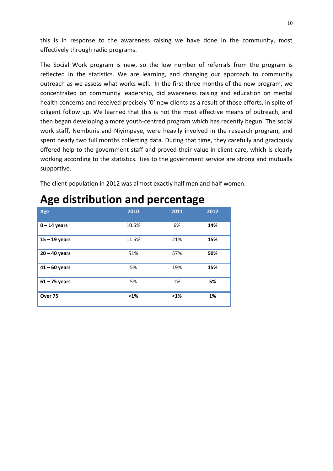this is in response to the awareness raising we have done in the community, most effectively through radio programs.

The Social Work program is new, so the low number of referrals from the program is reflected in the statistics. We are learning, and changing our approach to community outreach as we assess what works well. In the first three months of the new program, we concentrated on community leadership, did awareness raising and education on mental health concerns and received precisely '0' new clients as a result of those efforts, in spite of diligent follow up. We learned that this is not the most effective means of outreach, and then began developing a more youth-centred program which has recently begun. The social work staff, Nemburis and Niyimpaye, were heavily involved in the research program, and spent nearly two full months collecting data. During that time, they carefully and graciously offered help to the government staff and proved their value in client care, which is clearly working according to the statistics. Ties to the government service are strong and mutually supportive.

<span id="page-9-0"></span>The client population in 2012 was almost exactly half men and half women.

| Age                | 2010  | 2011 | 2012 |
|--------------------|-------|------|------|
| $0 - 14$ years     | 10.5% | 6%   | 14%  |
| $15 - 19$ years    | 11.5% | 21%  | 15%  |
| $20 - 40$ years    | 51%   | 57%  | 50%  |
| $41 - 60$ years    | 5%    | 19%  | 15%  |
| $61 - 75$ years    | 5%    | 1%   | 5%   |
| Over <sub>75</sub> | $1%$  | $1%$ | 1%   |

# **Age distribution and percentage**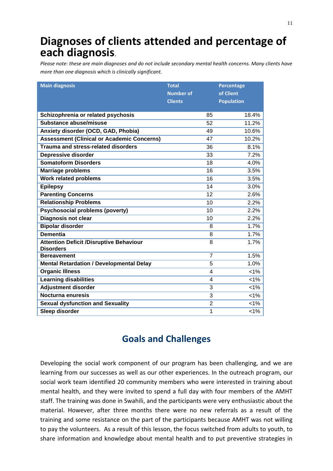# <span id="page-10-0"></span>**Diagnoses of clients attended and percentage of each diagnosis.**

*Please note: these are main diagnoses and do not include secondary mental health concerns. Many clients have more than one diagnosis which is clinically significant.*

| <b>Main diagnosis</b>                                              | <b>Total</b>     | Percentage        |  |
|--------------------------------------------------------------------|------------------|-------------------|--|
|                                                                    | <b>Number of</b> | of Client         |  |
|                                                                    | <b>Clients</b>   | <b>Population</b> |  |
|                                                                    |                  |                   |  |
| Schizophrenia or related psychosis                                 | 85               | 18.4%             |  |
| Substance abuse/misuse                                             | 52               | 11.2%             |  |
| Anxiety disorder (OCD, GAD, Phobia)                                | 49               | 10.6%             |  |
| <b>Assessment (Clinical or Academic Concerns)</b>                  | 47               | 10.2%             |  |
| <b>Trauma and stress-related disorders</b>                         | 36               | 8.1%              |  |
| <b>Depressive disorder</b>                                         | 33               | 7.2%              |  |
| <b>Somatoform Disorders</b>                                        | 18               | 4.0%              |  |
| <b>Marriage problems</b>                                           | 16               | 3.5%              |  |
| <b>Work related problems</b>                                       | 16               | 3.5%              |  |
| <b>Epilepsy</b>                                                    | 14               | 3.0%              |  |
| <b>Parenting Concerns</b>                                          | 12               | 2.6%              |  |
| <b>Relationship Problems</b>                                       | 10               | 2.2%              |  |
| <b>Psychosocial problems (poverty)</b>                             | 10               | 2.2%              |  |
| <b>Diagnosis not clear</b>                                         | 10               | 2.2%              |  |
| <b>Bipolar disorder</b>                                            | 8                | 1.7%              |  |
| <b>Dementia</b>                                                    | 8                | 1.7%              |  |
| <b>Attention Deficit /Disruptive Behaviour</b><br><b>Disorders</b> | 8                | 1.7%              |  |
| <b>Bereavement</b>                                                 | $\overline{7}$   | 1.5%              |  |
| <b>Mental Retardation / Developmental Delay</b>                    | 5                | 1.0%              |  |
| <b>Organic Illness</b>                                             | 4                | $1\%$             |  |
| <b>Learning disabilities</b>                                       | 4                | $< 1\%$           |  |
| <b>Adjustment disorder</b>                                         | 3                | 1%                |  |
| Nocturna enuresis                                                  | 3                | 1%                |  |
| <b>Sexual dysfunction and Sexuality</b>                            | $\overline{2}$   | $< 1\%$           |  |
| Sleep disorder                                                     | 1                | 1%                |  |

## **Goals and Challenges**

<span id="page-10-1"></span>Developing the social work component of our program has been challenging, and we are learning from our successes as well as our other experiences. In the outreach program, our social work team identified 20 community members who were interested in training about mental health, and they were invited to spend a full day with four members of the AMHT staff. The training was done in Swahili, and the participants were very enthusiastic about the material. However, after three months there were no new referrals as a result of the training and some resistance on the part of the participants because AMHT was not willing to pay the volunteers. As a result of this lesson, the focus switched from adults to youth, to share information and knowledge about mental health and to put preventive strategies in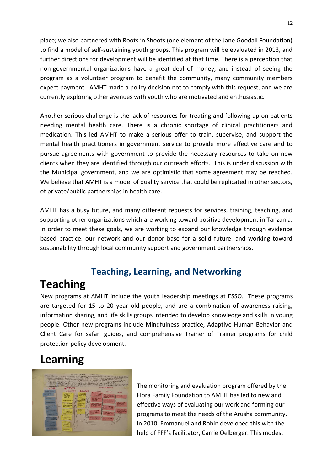place; we also partnered with Roots 'n Shoots (one element of the Jane Goodall Foundation) to find a model of self-sustaining youth groups. This program will be evaluated in 2013, and further directions for development will be identified at that time. There is a perception that non-governmental organizations have a great deal of money, and instead of seeing the program as a volunteer program to benefit the community, many community members expect payment. AMHT made a policy decision not to comply with this request, and we are currently exploring other avenues with youth who are motivated and enthusiastic.

Another serious challenge is the lack of resources for treating and following up on patients needing mental health care. There is a chronic shortage of clinical practitioners and medication. This led AMHT to make a serious offer to train, supervise, and support the mental health practitioners in government service to provide more effective care and to pursue agreements with government to provide the necessary resources to take on new clients when they are identified through our outreach efforts. This is under discussion with the Municipal government, and we are optimistic that some agreement may be reached. We believe that AMHT is a model of quality service that could be replicated in other sectors, of private/public partnerships in health care.

AMHT has a busy future, and many different requests for services, training, teaching, and supporting other organizations which are working toward positive development in Tanzania. In order to meet these goals, we are working to expand our knowledge through evidence based practice, our network and our donor base for a solid future, and working toward sustainability through local community support and government partnerships.

# **Teaching, Learning, and Networking**

# <span id="page-11-0"></span>**Teaching**

New programs at AMHT include the youth leadership meetings at ESSO. These programs are targeted for 15 to 20 year old people, and are a combination of awareness raising, information sharing, and life skills groups intended to develop knowledge and skills in young people. Other new programs include Mindfulness practice, Adaptive Human Behavior and Client Care for safari guides, and comprehensive Trainer of Trainer programs for child protection policy development.

# <span id="page-11-1"></span>**Learning**



The monitoring and evaluation program offered by the Flora Family Foundation to AMHT has led to new and effective ways of evaluating our work and forming our programs to meet the needs of the Arusha community. In 2010, Emmanuel and Robin developed this with the help of FFF's facilitator, Carrie Oelberger. This modest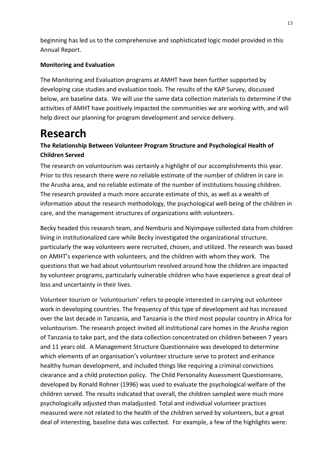beginning has led us to the comprehensive and sophisticated logic model provided in this Annual Report.

### **Monitoring and Evaluation**

<span id="page-12-0"></span>The Monitoring and Evaluation programs at AMHT have been further supported by developing case studies and evaluation tools. The results of the KAP Survey, discussed below, are baseline data. We will use the same data collection materials to determine if the activities of AMHT have positively impacted the communities we are working with, and will help direct our planning for program development and service delivery.

# <span id="page-12-1"></span>**Research**

## **The Relationship Between Volunteer Program Structure and Psychological Health of Children Served**

The research on voluntourism was certainly a highlight of our accomplishments this year. Prior to this research there were no reliable estimate of the number of children in care in the Arusha area, and no reliable estimate of the number of institutions housing children. The research provided a much more accurate estimate of this, as well as a wealth of information about the research methodology, the psychological well-being of the children in care, and the management structures of organizations with volunteers.

Becky headed this research team, and Nemburis and Niyimpaye collected data from children living in institutionalized care while Becky investigated the organizational structure, particularly the way volunteers were recruited, chosen, and utilized. The research was based on AMHT's experience with volunteers, and the children with whom they work. The questions that we had about voluntourism revolved around how the children are impacted by volunteer programs, particularly vulnerable children who have experience a great deal of loss and uncertainty in their lives.

Volunteer tourism or 'voluntourism' refers to people interested in carrying out volunteer work in developing countries. The frequency of this type of development aid has increased over the last decade in Tanzania, and Tanzania is the third most popular country in Africa for voluntourism. The research project invited all institutional care homes in the Arusha region of Tanzania to take part, and the data collection concentrated on children between 7 years and 11 years old. A Management Structure Questionnaire was developed to determine which elements of an organisation's volunteer structure serve to protect and enhance healthy human development, and included things like requiring a criminal convictions clearance and a child protection policy. The Child Personality Assessment Questionnaire, developed by Ronald Rohner (1996) was used to evaluate the psychological welfare of the children served. The results indicated that overall, the children sampled were much more psychologically adjusted than maladjusted. Total and individual volunteer practices measured were not related to the health of the children served by volunteers, but a great deal of interesting, baseline data was collected. For example, a few of the highlights were: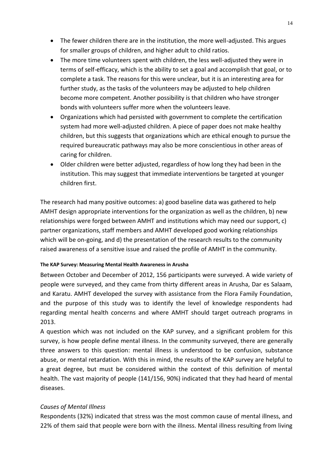- The fewer children there are in the institution, the more well-adjusted. This argues for smaller groups of children, and higher adult to child ratios.
- The more time volunteers spent with children, the less well-adjusted they were in terms of self-efficacy, which is the ability to set a goal and accomplish that goal, or to complete a task. The reasons for this were unclear, but it is an interesting area for further study, as the tasks of the volunteers may be adjusted to help children become more competent. Another possibility is that children who have stronger bonds with volunteers suffer more when the volunteers leave.
- Organizations which had persisted with government to complete the certification system had more well-adjusted children. A piece of paper does not make healthy children, but this suggests that organizations which are ethical enough to pursue the required bureaucratic pathways may also be more conscientious in other areas of caring for children.
- Older children were better adjusted, regardless of how long they had been in the institution. This may suggest that immediate interventions be targeted at younger children first.

<span id="page-13-0"></span>The research had many positive outcomes: a) good baseline data was gathered to help AMHT design appropriate interventions for the organization as well as the children, b) new relationships were forged between AMHT and institutions which may need our support, c) partner organizations, staff members and AMHT developed good working relationships which will be on-going, and d) the presentation of the research results to the community raised awareness of a sensitive issue and raised the profile of AMHT in the community.

#### **The KAP Survey: Measuring Mental Health Awareness in Arusha**

Between October and December of 2012, 156 participants were surveyed. A wide variety of people were surveyed, and they came from thirty different areas in Arusha, Dar es Salaam, and Karatu. AMHT developed the survey with assistance from the Flora Family Foundation, and the purpose of this study was to identify the level of knowledge respondents had regarding mental health concerns and where AMHT should target outreach programs in 2013.

A question which was not included on the KAP survey, and a significant problem for this survey, is how people define mental illness. In the community surveyed, there are generally three answers to this question: mental illness is understood to be confusion, substance abuse, or mental retardation. With this in mind, the results of the KAP survey are helpful to a great degree, but must be considered within the context of this definition of mental health. The vast majority of people (141/156, 90%) indicated that they had heard of mental diseases.

#### *Causes of Mental Illness*

Respondents (32%) indicated that stress was the most common cause of mental illness, and 22% of them said that people were born with the illness. Mental illness resulting from living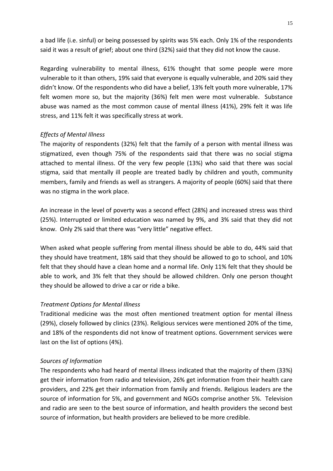a bad life (i.e. sinful) or being possessed by spirits was 5% each. Only 1% of the respondents said it was a result of grief; about one third (32%) said that they did not know the cause.

Regarding vulnerability to mental illness, 61% thought that some people were more vulnerable to it than others, 19% said that everyone is equally vulnerable, and 20% said they didn't know. Of the respondents who did have a belief, 13% felt youth more vulnerable, 17% felt women more so, but the majority (36%) felt men were most vulnerable. Substance abuse was named as the most common cause of mental illness (41%), 29% felt it was life stress, and 11% felt it was specifically stress at work.

#### *Effects of Mental Illness*

The majority of respondents (32%) felt that the family of a person with mental illness was stigmatized, even though 75% of the respondents said that there was no social stigma attached to mental illness. Of the very few people (13%) who said that there was social stigma, said that mentally ill people are treated badly by children and youth, community members, family and friends as well as strangers. A majority of people (60%) said that there was no stigma in the work place.

An increase in the level of poverty was a second effect (28%) and increased stress was third (25%). Interrupted or limited education was named by 9%, and 3% said that they did not know. Only 2% said that there was "very little" negative effect.

When asked what people suffering from mental illness should be able to do, 44% said that they should have treatment, 18% said that they should be allowed to go to school, and 10% felt that they should have a clean home and a normal life. Only 11% felt that they should be able to work, and 3% felt that they should be allowed children. Only one person thought they should be allowed to drive a car or ride a bike.

#### *Treatment Options for Mental Illness*

Traditional medicine was the most often mentioned treatment option for mental illness (29%), closely followed by clinics (23%). Religious services were mentioned 20% of the time, and 18% of the respondents did not know of treatment options. Government services were last on the list of options (4%).

#### *Sources of Information*

The respondents who had heard of mental illness indicated that the majority of them (33%) get their information from radio and television, 26% get information from their health care providers, and 22% get their information from family and friends. Religious leaders are the source of information for 5%, and government and NGOs comprise another 5%. Television and radio are seen to the best source of information, and health providers the second best source of information, but health providers are believed to be more credible.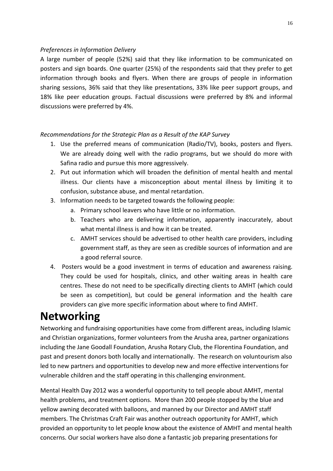### *Preferences in Information Delivery*

A large number of people (52%) said that they like information to be communicated on posters and sign boards. One quarter (25%) of the respondents said that they prefer to get information through books and flyers. When there are groups of people in information sharing sessions, 36% said that they like presentations, 33% like peer support groups, and 18% like peer education groups. Factual discussions were preferred by 8% and informal discussions were preferred by 4%.

## *Recommendations for the Strategic Plan as a Result of the KAP Survey*

- 1. Use the preferred means of communication (Radio/TV), books, posters and flyers. We are already doing well with the radio programs, but we should do more with Safina radio and pursue this more aggressively.
- 2. Put out information which will broaden the definition of mental health and mental illness. Our clients have a misconception about mental illness by limiting it to confusion, substance abuse, and mental retardation.
- 3. Information needs to be targeted towards the following people:
	- a. Primary school leavers who have little or no information.
	- b. Teachers who are delivering information, apparently inaccurately, about what mental illness is and how it can be treated.
	- c. AMHT services should be advertised to other health care providers, including government staff, as they are seen as credible sources of information and are a good referral source.
- <span id="page-15-0"></span>4. Posters would be a good investment in terms of education and awareness raising. They could be used for hospitals, clinics, and other waiting areas in health care centres. These do not need to be specifically directing clients to AMHT (which could be seen as competition), but could be general information and the health care providers can give more specific information about where to find AMHT.

# **Networking**

Networking and fundraising opportunities have come from different areas, including Islamic and Christian organizations, former volunteers from the Arusha area, partner organizations including the Jane Goodall Foundation, Arusha Rotary Club, the Florentina Foundation, and past and present donors both locally and internationally. The research on voluntourism also led to new partners and opportunities to develop new and more effective interventions for vulnerable children and the staff operating in this challenging environment.

Mental Health Day 2012 was a wonderful opportunity to tell people about AMHT, mental health problems, and treatment options. More than 200 people stopped by the blue and yellow awning decorated with balloons, and manned by our Director and AMHT staff members. The Christmas Craft Fair was another outreach opportunity for AMHT, which provided an opportunity to let people know about the existence of AMHT and mental health concerns. Our social workers have also done a fantastic job preparing presentations for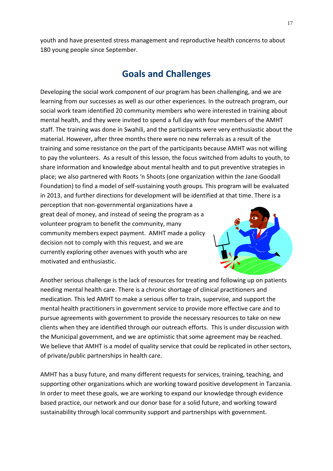<span id="page-16-0"></span>youth and have presented stress management and reproductive health concerns to about 180 young people since September.

## **Goals and Challenges**

Developing the social work component of our program has been challenging, and we are learning from our successes as well as our other experiences. In the outreach program, our social work team identified 20 community members who were interested in training about mental health, and they were invited to spend a full day with four members of the AMHT staff. The training was done in Swahili, and the participants were very enthusiastic about the material. However, after three months there were no new referrals as a result of the training and some resistance on the part of the participants because AMHT was not willing to pay the volunteers. As a result of this lesson, the focus switched from adults to youth, to share information and knowledge about mental health and to put preventive strategies in place; we also partnered with Roots 'n Shoots (one organization within the Jane Goodall Foundation) to find a model of self-sustaining youth groups. This program will be evaluated in 2013, and further directions for development will be identified at that time. There is a

perception that non-governmental organizations have a great deal of money, and instead of seeing the program as a volunteer program to benefit the community, many community members expect payment. AMHT made a policy decision not to comply with this request, and we are currently exploring other avenues with youth who are motivated and enthusiastic.



Another serious challenge is the lack of resources for treating and following up on patients needing mental health care. There is a chronic shortage of clinical practitioners and medication. This led AMHT to make a serious offer to train, supervise, and support the mental health practitioners in government service to provide more effective care and to pursue agreements with government to provide the necessary resources to take on new clients when they are identified through our outreach efforts. This is under discussion with the Municipal government, and we are optimistic that some agreement may be reached. We believe that AMHT is a model of quality service that could be replicated in other sectors, of private/public partnerships in health care.

AMHT has a busy future, and many different requests for services, training, teaching, and supporting other organizations which are working toward positive development in Tanzania. In order to meet these goals, we are working to expand our knowledge through evidence based practice, our network and our donor base for a solid future, and working toward sustainability through local community support and partnerships with government.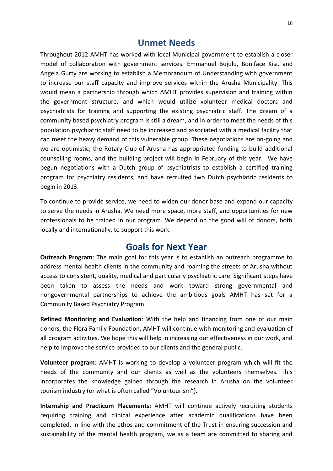## **Unmet Needs**

Throughout 2012 AMHT has worked with local Municipal government to establish a closer model of collaboration with government services. Emmanuel Bujulu, Boniface Kisi, and Angela Gurty are working to establish a Memorandum of Understanding with government to increase our staff capacity and improve services within the Arusha Municipality. This would mean a partnership through which AMHT provides supervision and training within the government structure, and which would utilize volunteer medical doctors and psychiatrists for training and supporting the existing psychiatric staff. The dream of a community based psychiatry program is still a dream, and in order to meet the needs of this population psychiatric staff need to be increased and associated with a medical facility that can meet the heavy demand of this vulnerable group. These negotiations are on-going and we are optimistic; the Rotary Club of Arusha has appropriated funding to build additional counselling rooms, and the building project will begin in February of this year. We have begun negotiations with a Dutch group of psychiatrists to establish a certified training program for psychiatry residents, and have recruited two Dutch psychiatric residents to begin in 2013.

<span id="page-17-0"></span>To continue to provide service, we need to widen our donor base and expand our capacity to serve the needs in Arusha. We need more space, more staff, and opportunities for new professionals to be trained in our program. We depend on the good will of donors, both locally and internationally, to support this work.

## **Goals for Next Year**

**Outreach Program**: The main goal for this year is to establish an outreach programme to address mental health clients in the community and roaming the streets of Arusha without access to consistent, quality, medical and particularly psychiatric care. Significant steps have been taken to assess the needs and work toward strong governmental and nongovernmental partnerships to achieve the ambitious goals AMHT has set for a Community Based Psychiatry Program.

**Refined Monitoring and Evaluation**: With the help and financing from one of our main donors, the Flora Family Foundation, AMHT will continue with monitoring and evaluation of all program activities. We hope this will help in increasing our effectiveness in our work, and help to improve the service provided to our clients and the general public.

**Volunteer program**: AMHT is working to develop a volunteer program which will fit the needs of the community and our clients as well as the volunteers themselves. This incorporates the knowledge gained through the research in Arusha on the volunteer tourism industry (or what is often called "Voluntourism").

**Internship and Practicum Placements**: AMHT will continue actively recruiting students requiring training and clinical experience after academic qualifications have been completed. In line with the ethos and commitment of the Trust in ensuring succession and sustainability of the mental health program, we as a team are committed to sharing and